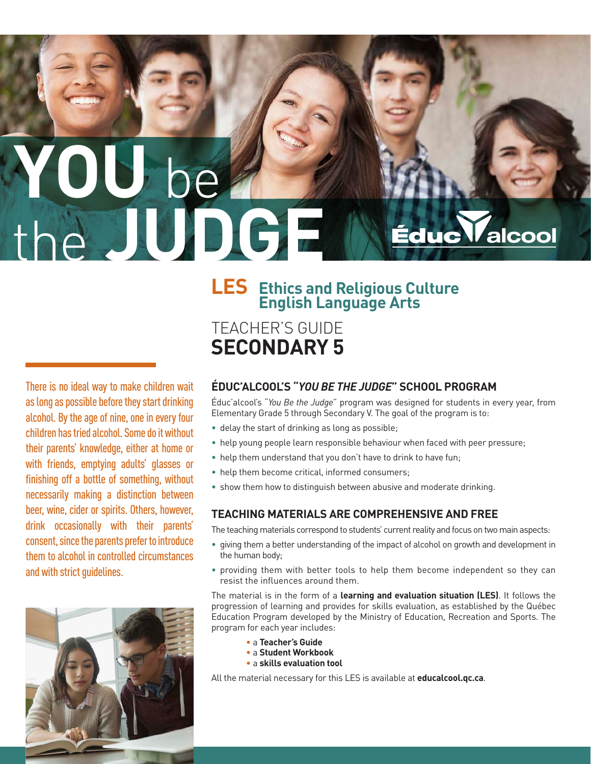# **YOU** be the **JUDGE** *A*lcool

TEACHER'S GUIDE

**SECONDARY 5**

# **LES Ethics and Religious Culture English Language Arts**

There is no ideal way to make children wait as long as possible before they start drinking alcohol. By the age of nine, one in every four children has tried alcohol. Some do it without their parents' knowledge, either at home or with friends, emptying adults' glasses or finishing off a bottle of something, without necessarily making a distinction between beer, wine, cider or spirits. Others, however, drink occasionally with their parents' consent, since the parents prefer to introduce them to alcohol in controlled circumstances and with strict guidelines.



#### **ÉDUC'ALCOOL'S "***YOU BE THE JUDGE***" SCHOOL PROGRAM**

Éduc'alcool's "*You Be the Judge*" program was designed for students in every year, from Elementary Grade 5 through Secondary V. The goal of the program is to:

- delay the start of drinking as long as possible;
- help young people learn responsible behaviour when faced with peer pressure;
- help them understand that you don't have to drink to have fun;
- help them become critical, informed consumers;
- show them how to distinguish between abusive and moderate drinking.

#### **TEACHING MATERIALS ARE COMPREHENSIVE AND FREE**

The teaching materials correspond to students' current reality and focus on two main aspects:

- giving them a better understanding of the impact of alcohol on growth and development in the human body;
- providing them with better tools to help them become independent so they can resist the influences around them.

The material is in the form of a **learning and evaluation situation (LES)**. It follows the progression of learning and provides for skills evaluation, as established by the Québec Education Program developed by the Ministry of Education, Recreation and Sports. The program for each year includes:

- a **Teacher's Guide**
- a **Student Workbook**
- a **skills evaluation tool**

All the material necessary for this LES is available at **educalcool.qc.ca**.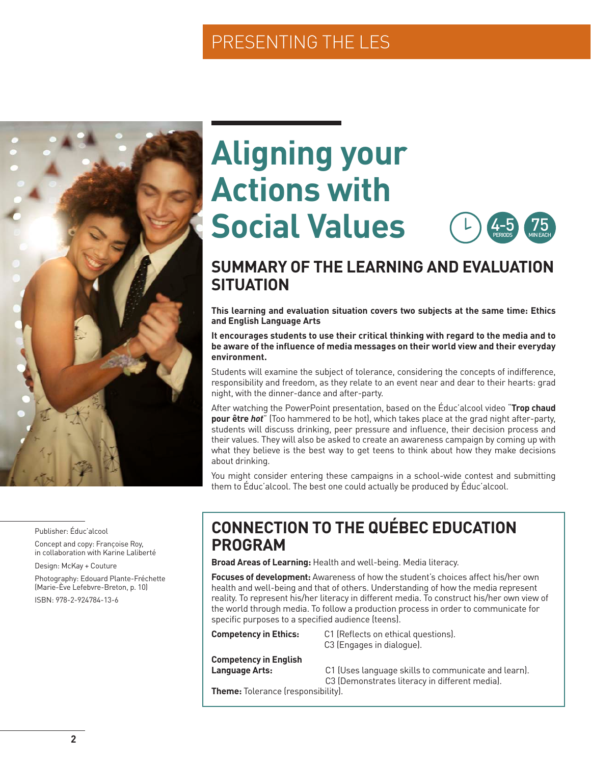# PRESENTING THE LES



# **Aligning your Actions with Social Values**



### **SUMMARY OF THE LEARNING AND EVALUATION SITUATION**

**This learning and evaluation situation covers two subjects at the same time: Ethics and English Language Arts** 

#### **It encourages students to use their critical thinking with regard to the media and to be aware of the influence of media messages on their world view and their everyday environment.**

Students will examine the subject of tolerance, considering the concepts of indifference, responsibility and freedom, as they relate to an event near and dear to their hearts: grad night, with the dinner-dance and after-party.

After watching the PowerPoint presentation, based on the Éduc'alcool video "**Trop chaud pour être** *hot*" (Too hammered to be hot), which takes place at the grad night after-party, students will discuss drinking, peer pressure and influence, their decision process and their values. They will also be asked to create an awareness campaign by coming up with what they believe is the best way to get teens to think about how they make decisions about drinking.

You might consider entering these campaigns in a school-wide contest and submitting them to Éduc'alcool. The best one could actually be produced by Éduc'alcool.

Publisher: Éduc'alcool

Concept and copy: Françoise Roy, in collaboration with Karine Laliberté

Design: McKay + Couture

Photography: Edouard Plante-Fréchette (Marie-Ève Lefebvre-Breton, p. 10) ISBN: 978-2-924784-13-6

### **CONNECTION TO THE QUÉBEC EDUCATION PROGRAM**

**Broad Areas of Learning:** Health and well-being. Media literacy.

**Focuses of development:** Awareness of how the student's choices affect his/her own health and well-being and that of others. Understanding of how the media represent reality. To represent his/her literacy in different media. To construct his/her own view of the world through media. To follow a production process in order to communicate for specific purposes to a specified audience (teens).

**Competency in Ethics:** C1 (Reflects on ethical questions). C3 (Engages in dialogue).

**Competency in English**

**Language Arts:** C1 (Uses language skills to communicate and learn).

**Theme:** Tolerance (responsibility).

C3 (Demonstrates literacy in different media).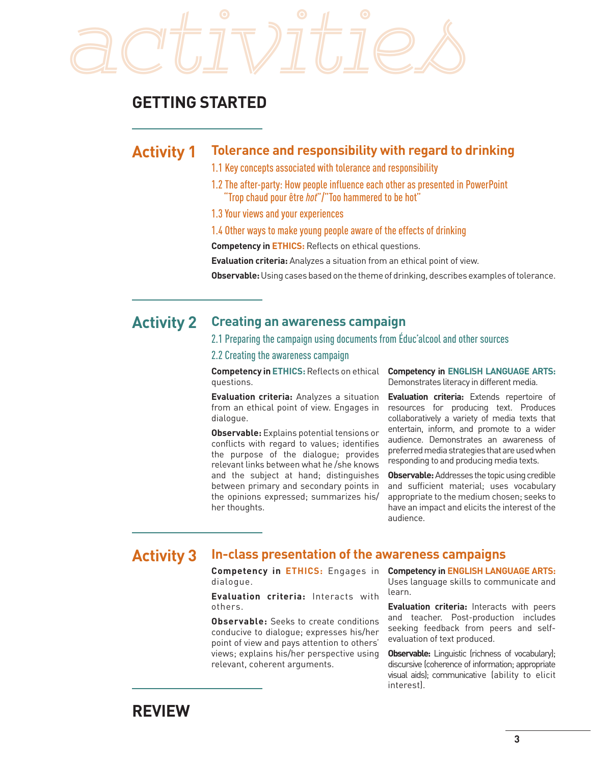

### **GETTING STARTED**

#### **Activity 1 Tolerance and responsibility with regard to drinking**

- 1.1 Key concepts associated with tolerance and responsibility
- 1.2 The after-party: How people influence each other as presented in PowerPoint "Trop chaud pour être *hot*"/"Too hammered to be hot"
- 1.3 Your views and your experiences
- 1.4 Other ways to make young people aware of the effects of drinking

**Competency in ETHICS:** Reflects on ethical questions.

**Evaluation criteria:** Analyzes a situation from an ethical point of view.

**Observable:** Using cases based on the theme of drinking, describes examples of tolerance.

#### **Activity 2 Creating an awareness campaign**

#### 2.1 Preparing the campaign using documents from Éduc'alcool and other sources

2.2 Creating the awareness campaign

**Competency in ETHICS:**Reflects on ethical questions.

**Evaluation criteria:** Analyzes a situation from an ethical point of view. Engages in dialogue.

**Observable:** Explains potential tensions or conflicts with regard to values; identifies the purpose of the dialogue; provides relevant links between what he /she knows and the subject at hand; distinguishes between primary and secondary points in the opinions expressed; summarizes his/ her thoughts.

**Competency in ENGLISH LANGUAGE ARTS:**  Demonstrates literacy in different media.

**Evaluation criteria:** Extends repertoire of resources for producing text. Produces collaboratively a variety of media texts that entertain, inform, and promote to a wider audience. Demonstrates an awareness of preferred media strategies that are used when responding to and producing media texts.

**Observable:** Addresses the topic using credible and sufficient material; uses vocabulary appropriate to the medium chosen; seeks to have an impact and elicits the interest of the audience.

### **Activity 3 In-class presentation of the awareness campaigns**

**Competency in ETHICS:** Engages in dialogue.

**Evaluation criteria:** Interacts with others.

**Observable:** Seeks to create conditions conducive to dialogue; expresses his/her point of view and pays attention to others' views; explains his/her perspective using relevant, coherent arguments.

**Competency in ENGLISH LANGUAGE ARTS:**  Uses language skills to communicate and learn.

**Evaluation criteria:** Interacts with peers and teacher. Post-production includes seeking feedback from peers and selfevaluation of text produced.

**Observable:** Linguistic (richness of vocabulary); discursive (coherence of information; appropriate visual aids); communicative (ability to elicit interest).

### **REVIEW**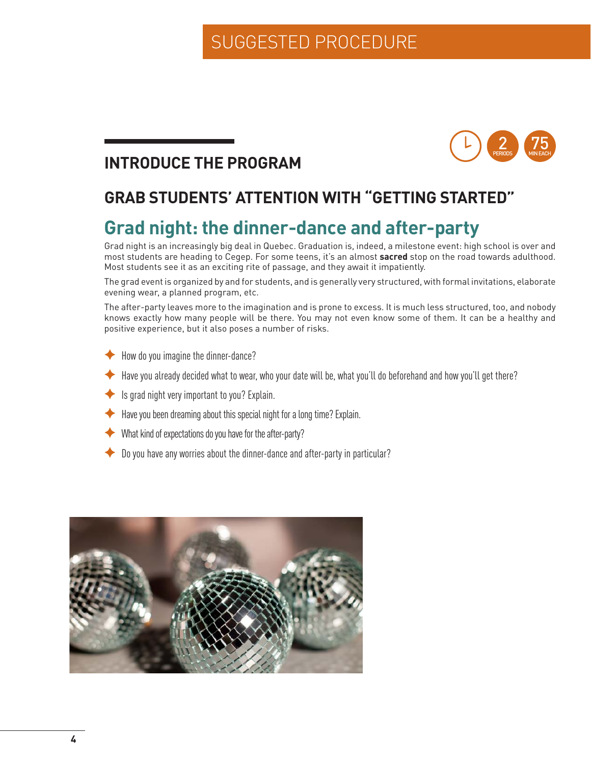#### 75 MIN EACH 2 PERIODS

# **INTRODUCE THE PROGRAM**

# **GRAB STUDENTS' ATTENTION WITH "GETTING STARTED"**

# **Grad night: the dinner-dance and after-party**

Grad night is an increasingly big deal in Quebec. Graduation is, indeed, a milestone event: high school is over and most students are heading to Cegep. For some teens, it's an almost **sacred** stop on the road towards adulthood. Most students see it as an exciting rite of passage, and they await it impatiently.

The grad event is organized by and for students, and is generally very structured, with formal invitations, elaborate evening wear, a planned program, etc.

The after-party leaves more to the imagination and is prone to excess. It is much less structured, too, and nobody knows exactly how many people will be there. You may not even know some of them. It can be a healthy and positive experience, but it also poses a number of risks.

- How do you imagine the dinner-dance?
- Have you already decided what to wear, who your date will be, what you'll do beforehand and how you'll get there?
- $\blacktriangleright$  Is grad night very important to you? Explain.
- Have you been dreaming about this special night for a long time? Explain.
- $\blacklozenge$  What kind of expectations do you have for the after-party?
- Do you have any worries about the dinner-dance and after-party in particular?

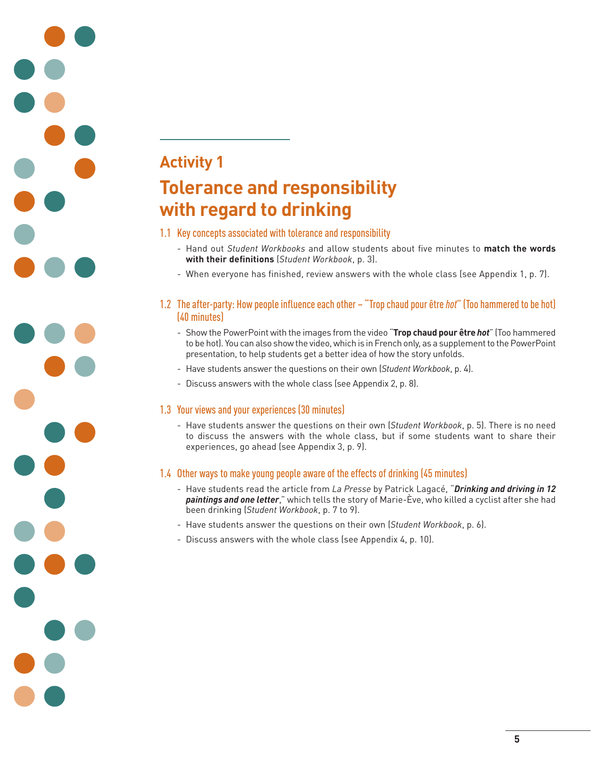# **Activity 1 Tolerance and responsibility with regard to drinking**

#### 1.1 Key concepts associated with tolerance and responsibility

- Hand out *Student Workbooks* and allow students about five minutes to **match the words with their definitions** (*Student Workbook*, p. 3).
- When everyone has finished, review answers with the whole class (see Appendix 1, p. 7).

#### 1.2 The after-party: How people influence each other – "Trop chaud pour être *hot*" (Too hammered to be hot) (40 minutes)

- Show the PowerPoint with the images from the video "**Trop chaud pour être** *hot*" (Too hammered to be hot). You can also show the video, which is in French only, as a supplement to the PowerPoint presentation, to help students get a better idea of how the story unfolds.
- Have students answer the questions on their own (*Student Workbook*, p. 4).
- Discuss answers with the whole class (see Appendix 2, p. 8).

#### 1.3 Your views and your experiences (30 minutes)

 - Have students answer the questions on their own (*Student Workbook*, p. 5). There is no need to discuss the answers with the whole class, but if some students want to share their experiences, go ahead (see Appendix 3, p. 9).

#### 1.4 Other ways to make young people aware of the effects of drinking (45 minutes)

- Have students read the article from *La Presse* by Patrick Lagacé, "*Drinking and driving in 12 paintings and one letter*," which tells the story of Marie-Ève, who killed a cyclist after she had been drinking (*Student Workbook*, p. 7 to 9).
- Have students answer the questions on their own (*Student Workbook*, p. 6).
- Discuss answers with the whole class (see Appendix 4, p. 10).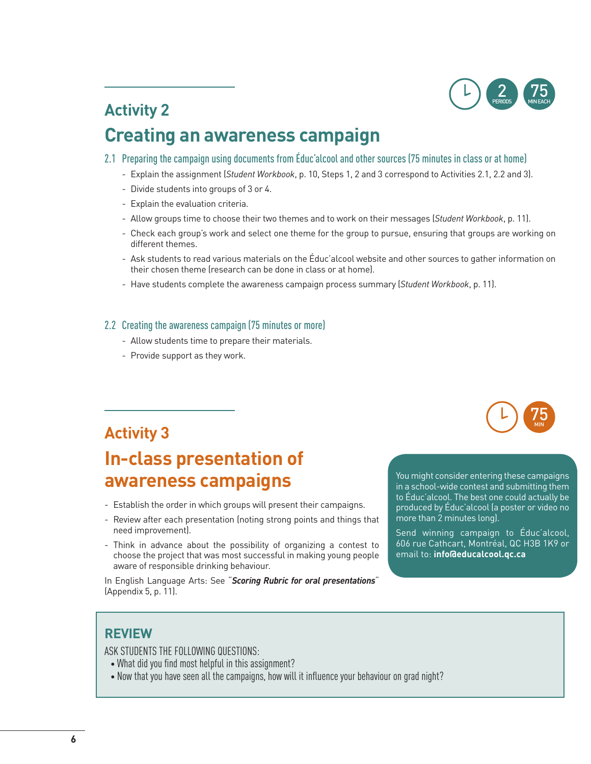

# **Activity 2 Creating an awareness campaign**

- 2.1 Preparing the campaign using documents from Éduc'alcool and other sources (75 minutes in class or at home)
	- Explain the assignment (*Student Workbook*, p. 10, Steps 1, 2 and 3 correspond to Activities 2.1, 2.2 and 3).
	- Divide students into groups of 3 or 4.
	- Explain the evaluation criteria.
	- Allow groups time to choose their two themes and to work on their messages (*Student Workbook*, p. 11).
	- Check each group's work and select one theme for the group to pursue, ensuring that groups are working on different themes.
	- Ask students to read various materials on the Éduc'alcool website and other sources to gather information on their chosen theme (research can be done in class or at home).
	- Have students complete the awareness campaign process summary (*Student Workbook*, p. 11).

#### 2.2 Creating the awareness campaign (75 minutes or more)

- Allow students time to prepare their materials.
- Provide support as they work.



### **Activity 3**

# **In-class presentation of awareness campaigns**

- Establish the order in which groups will present their campaigns.
- Review after each presentation (noting strong points and things that need improvement).
- Think in advance about the possibility of organizing a contest to choose the project that was most successful in making young people aware of responsible drinking behaviour.

In English Language Arts: See "*Scoring Rubric for oral presentations*" (Appendix 5, p. 11).

You might consider entering these campaigns in a school-wide contest and submitting them to Éduc'alcool. The best one could actually be produced by Éduc'alcool (a poster or video no more than 2 minutes long).

Send winning campaign to Éduc'alcool, 606 rue Cathcart, Montréal, QC H3B 1K9 or email to: **info@educalcool.qc.ca** 

### **REVIEW**

ASK STUDENTS THE FOLLOWING QUESTIONS:

- What did you find most helpful in this assignment?
- Now that you have seen all the campaigns, how will it influence your behaviour on grad night?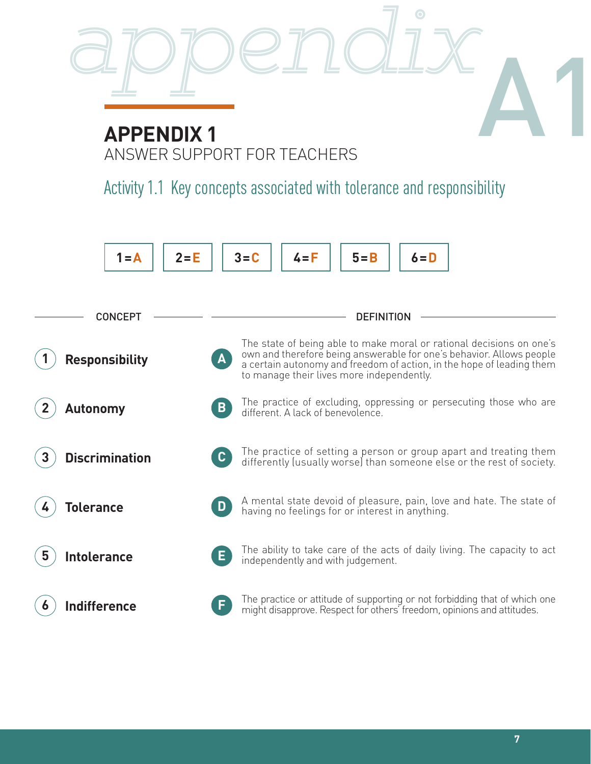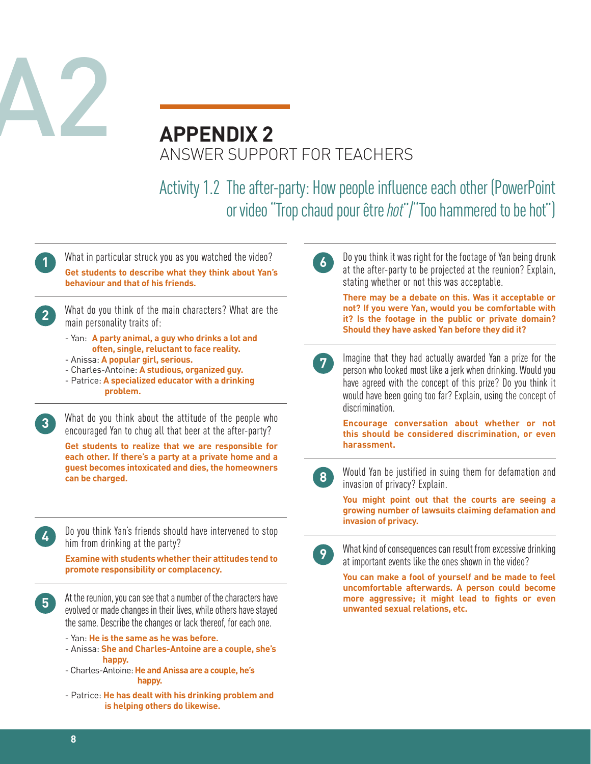

# **APPENDIX 2** ANSWER SUPPORT FOR TEACHERS

Activity 1.2 The after-party: How people influence each other (PowerPoint or video "Trop chaud pour être *hot*"/"Too hammered to be hot")

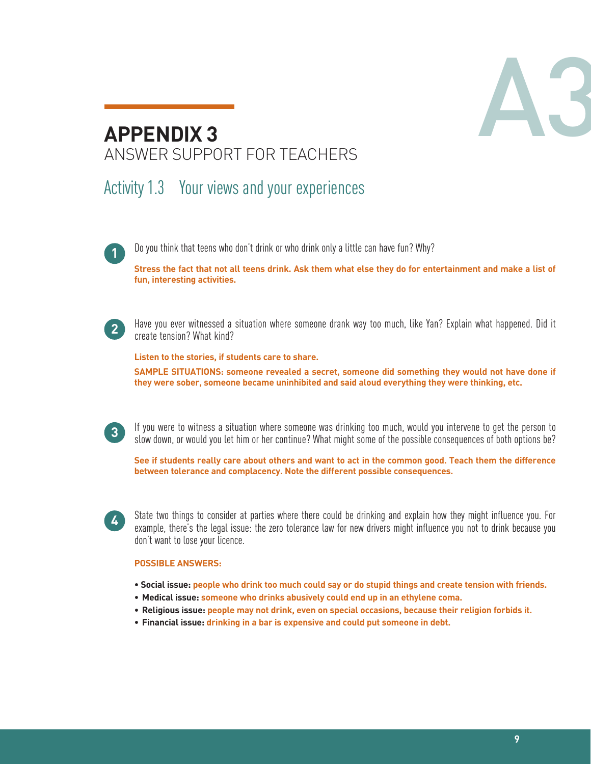

# **APPENDIX 3** ANSWER SUPPORT FOR TEACHERS

# Activity 1.3 Your views and your experiences

Do you think that teens who don't drink or who drink only a little can have fun? Why? **1**

**Stress the fact that not all teens drink. Ask them what else they do for entertainment and make a list of fun, interesting activities.**



Have you ever witnessed a situation where someone drank way too much, like Yan? Explain what happened. Did it create tension? What kind? **<sup>2</sup>**

**Listen to the stories, if students care to share.**

**SAMPLE SITUATIONS: someone revealed a secret, someone did something they would not have done if they were sober, someone became uninhibited and said aloud everything they were thinking, etc.**

If you were to witness a situation where someone was drinking too much, would you intervene to get the person to slow down, or would you let him or her continue? What might some of the possible consequences of both options be? **<sup>3</sup>**

**See if students really care about others and want to act in the common good. Teach them the difference between tolerance and complacency. Note the different possible consequences.**



State two things to consider at parties where there could be drinking and explain how they might influence you. For example, there's the legal issue: the zero tolerance law for new drivers might influence you not to drink because you don't want to lose your licence.

#### **POSSIBLE ANSWERS:**

- **Social issue: people who drink too much could say or do stupid things and create tension with friends.**
- **• Medical issue: someone who drinks abusively could end up in an ethylene coma.**
- **• Religious issue: people may not drink, even on special occasions, because their religion forbids it.**
- **• Financial issue: drinking in a bar is expensive and could put someone in debt.**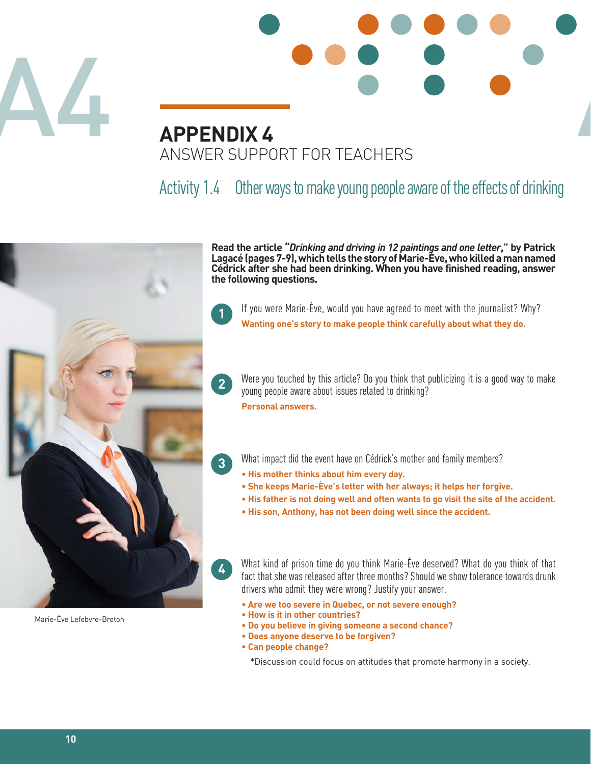



# Activity 1.4 Other ways to make young people aware of the effects of drinking



Marie-Ève Lefebvre-Breton

**Read the article "***Drinking and driving in 12 paintings and one letter***," by Patrick Lagacé (pages 7-9), which tells the story of Marie-Ève, who killed a man named Cédrick after she had been drinking. When you have finished reading, answer the following questions.**



**2**

**3**

**4**

If you were Marie-Ève, would you have agreed to meet with the journalist? Why? **Wanting one's story to make people think carefully about what they do.**

Were you touched by this article? Do you think that publicizing it is a good way to make young people aware about issues related to drinking?

**Personal answers.**

What impact did the event have on Cédrick's mother and family members?

- **His mother thinks about him every day.**
- **She keeps Marie-Ève's letter with her always; it helps her forgive.**
- **His father is not doing well and often wants to go visit the site of the accident.**
- **His son, Anthony, has not been doing well since the accident.**

What kind of prison time do you think Marie-Ève deserved? What do you think of that fact that she was released after three months? Should we show tolerance towards drunk drivers who admit they were wrong? Justify your answer.

- **Are we too severe in Quebec, or not severe enough?**
- **How is it in other countries?**
- **Do you believe in giving someone a second chance?**
- **Does anyone deserve to be forgiven?**
- **Can people change?**

\*Discussion could focus on attitudes that promote harmony in a society.